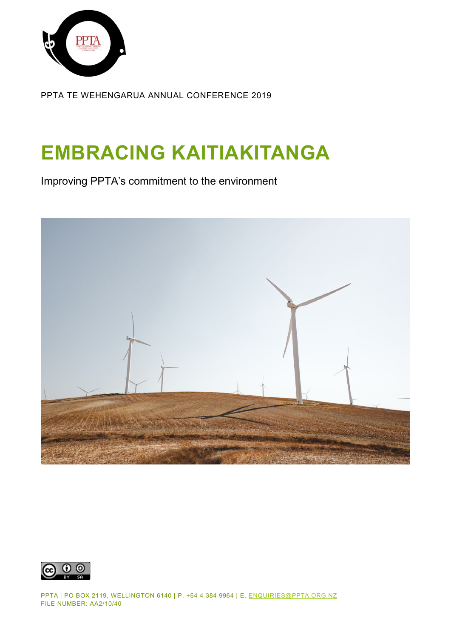

PPTA TE WEHENGARUA ANNUAL CONFERENCE 2019

# **EMBRACING KAITIAKITANGA**

Improving PPTA's commitment to the environment





PPTA | PO BOX 2119, WELLINGTON 6140 | P. +64 4 384 9964 | E. [ENQUIRIES@PPTA.ORG.NZ](mailto:enquiries@ppta.org.nz) FILE NUMBER: AA2/10/40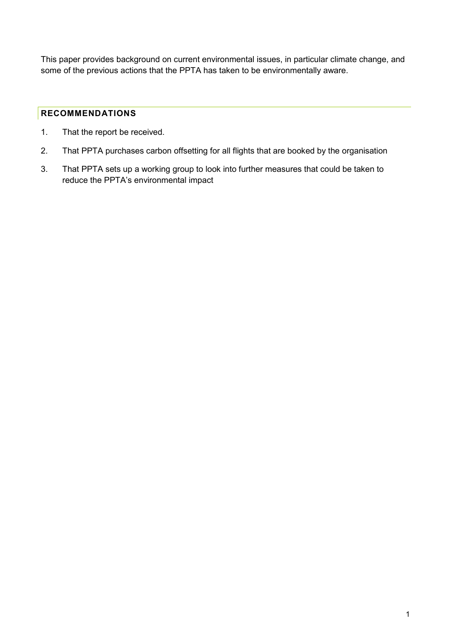This paper provides background on current environmental issues, in particular climate change, and some of the previous actions that the PPTA has taken to be environmentally aware.

## <span id="page-1-0"></span>**RECOMMENDATIONS**

- 1. That the report be received.
- 2. That PPTA purchases carbon offsetting for all flights that are booked by the organisation
- 3. That PPTA sets up a working group to look into further measures that could be taken to reduce the PPTA's environmental impact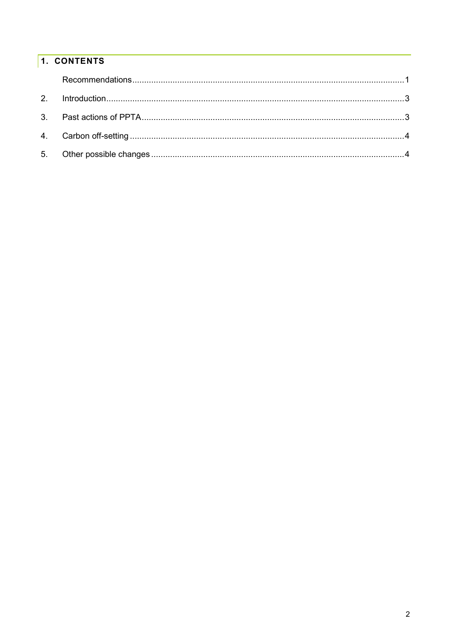# 1. CONTENTS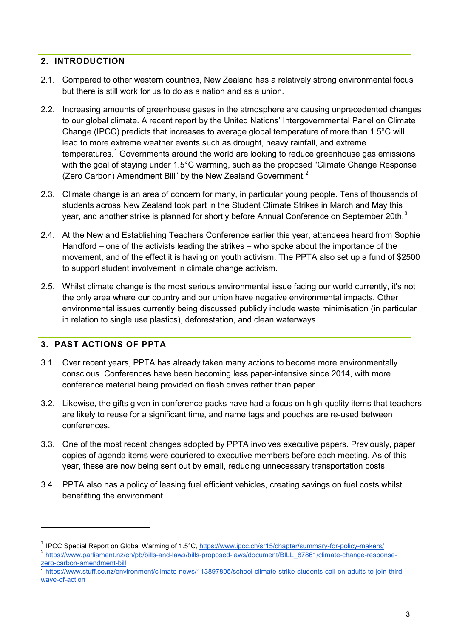#### <span id="page-3-0"></span>**2. INTRODUCTION**

- 2.1. Compared to other western countries, New Zealand has a relatively strong environmental focus but there is still work for us to do as a nation and as a union.
- 2.2. Increasing amounts of greenhouse gases in the atmosphere are causing unprecedented changes to our global climate. A recent report by the United Nations' Intergovernmental Panel on Climate Change (IPCC) predicts that increases to average global temperature of more than 1.5°C will lead to more extreme weather events such as drought, heavy rainfall, and extreme  $t$ emperatures.<sup>[1](#page-3-2)</sup> Governments around the world are looking to reduce greenhouse gas emissions with the goal of staying under 1.5°C warming, such as the proposed "Climate Change Response" (Zero Carbon) Amendment Bill" by the New Zealand Government.<sup>[2](#page-3-3)</sup>
- 2.3. Climate change is an area of concern for many, in particular young people. Tens of thousands of students across New Zealand took part in the Student Climate Strikes in March and May this year, and another strike is planned for shortly before Annual Conference on September 20th.<sup>[3](#page-3-4)</sup>
- 2.4. At the New and Establishing Teachers Conference earlier this year, attendees heard from Sophie Handford – one of the activists leading the strikes – who spoke about the importance of the movement, and of the effect it is having on youth activism. The PPTA also set up a fund of \$2500 to support student involvement in climate change activism.
- 2.5. Whilst climate change is the most serious environmental issue facing our world currently, it's not the only area where our country and our union have negative environmental impacts. Other environmental issues currently being discussed publicly include waste minimisation (in particular in relation to single use plastics), deforestation, and clean waterways.

# <span id="page-3-1"></span>**3. PAST ACTIONS OF PPTA**

-

- 3.1. Over recent years, PPTA has already taken many actions to become more environmentally conscious. Conferences have been becoming less paper-intensive since 2014, with more conference material being provided on flash drives rather than paper.
- 3.2. Likewise, the gifts given in conference packs have had a focus on high-quality items that teachers are likely to reuse for a significant time, and name tags and pouches are re-used between conferences.
- 3.3. One of the most recent changes adopted by PPTA involves executive papers. Previously, paper copies of agenda items were couriered to executive members before each meeting. As of this year, these are now being sent out by email, reducing unnecessary transportation costs.
- 3.4. PPTA also has a policy of leasing fuel efficient vehicles, creating savings on fuel costs whilst benefitting the environment.

<span id="page-3-2"></span><sup>&</sup>lt;sup>1</sup> IPCC Special Report on Global Warming of 1.5°C,<https://www.ipcc.ch/sr15/chapter/summary-for-policy-makers/>

<span id="page-3-3"></span><sup>2</sup> [https://www.parliament.nz/en/pb/bills-and-laws/bills-proposed-laws/document/BILL\\_87861/climate-change-response](https://www.parliament.nz/en/pb/bills-and-laws/bills-proposed-laws/document/BILL_87861/climate-change-response-zero-carbon-amendment-bill)[zero-carbon-amendment-bill](https://www.parliament.nz/en/pb/bills-and-laws/bills-proposed-laws/document/BILL_87861/climate-change-response-zero-carbon-amendment-bill)

<span id="page-3-4"></span><sup>3</sup> [https://www.stuff.co.nz/environment/climate-news/113897805/school-climate-strike-students-call-on-adults-to-join-third](https://www.stuff.co.nz/environment/climate-news/113897805/school-climate-strike-students-call-on-adults-to-join-third-wave-of-action)[wave-of-action](https://www.stuff.co.nz/environment/climate-news/113897805/school-climate-strike-students-call-on-adults-to-join-third-wave-of-action)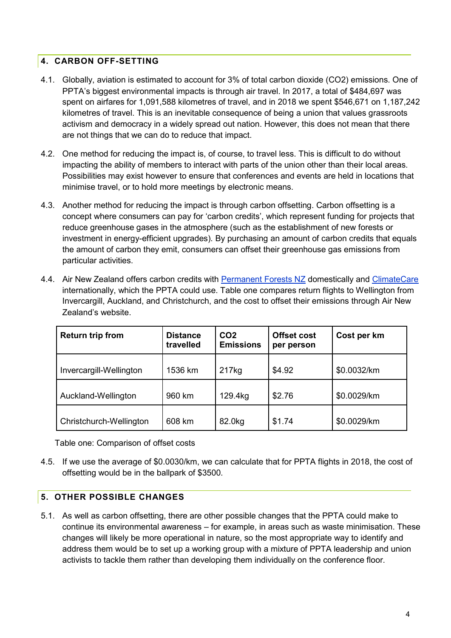## <span id="page-4-0"></span>**4. CARBON OFF-SETTING**

- 4.1. Globally, aviation is estimated to account for 3% of total carbon dioxide (CO2) emissions. One of PPTA's biggest environmental impacts is through air travel. In 2017, a total of \$484,697 was spent on airfares for 1,091,588 kilometres of travel, and in 2018 we spent \$546,671 on 1,187,242 kilometres of travel. This is an inevitable consequence of being a union that values grassroots activism and democracy in a widely spread out nation. However, this does not mean that there are not things that we can do to reduce that impact.
- 4.2. One method for reducing the impact is, of course, to travel less. This is difficult to do without impacting the ability of members to interact with parts of the union other than their local areas. Possibilities may exist however to ensure that conferences and events are held in locations that minimise travel, or to hold more meetings by electronic means.
- 4.3. Another method for reducing the impact is through carbon offsetting. Carbon offsetting is a concept where consumers can pay for 'carbon credits', which represent funding for projects that reduce greenhouse gases in the atmosphere (such as the establishment of new forests or investment in energy-efficient upgrades). By purchasing an amount of carbon credits that equals the amount of carbon they emit, consumers can offset their greenhouse gas emissions from particular activities.
- 4.4. Air New Zealand offers carbon credits with [Permanent Forests NZ](http://www.permanentforests.com/) domestically and [ClimateCare](https://climatecare.org/) internationally, which the PPTA could use. Table one compares return flights to Wellington from Invercargill, Auckland, and Christchurch, and the cost to offset their emissions through Air New Zealand's website.

| <b>Return trip from</b> | <b>Distance</b><br>travelled | CO <sub>2</sub><br><b>Emissions</b> | <b>Offset cost</b><br>per person | Cost per km |
|-------------------------|------------------------------|-------------------------------------|----------------------------------|-------------|
| Invercargill-Wellington | 1536 km                      | 217 <sub>kg</sub>                   | \$4.92                           | \$0.0032/km |
| Auckland-Wellington     | 960 km                       | 129.4kg                             | \$2.76                           | \$0.0029/km |
| Christchurch-Wellington | 608 km                       | 82.0kg                              | \$1.74                           | \$0.0029/km |

Table one: Comparison of offset costs

4.5. If we use the average of \$0.0030/km, we can calculate that for PPTA flights in 2018, the cost of offsetting would be in the ballpark of \$3500.

#### <span id="page-4-1"></span>**5. OTHER POSSIBLE CHANGES**

5.1. As well as carbon offsetting, there are other possible changes that the PPTA could make to continue its environmental awareness – for example, in areas such as waste minimisation. These changes will likely be more operational in nature, so the most appropriate way to identify and address them would be to set up a working group with a mixture of PPTA leadership and union activists to tackle them rather than developing them individually on the conference floor.